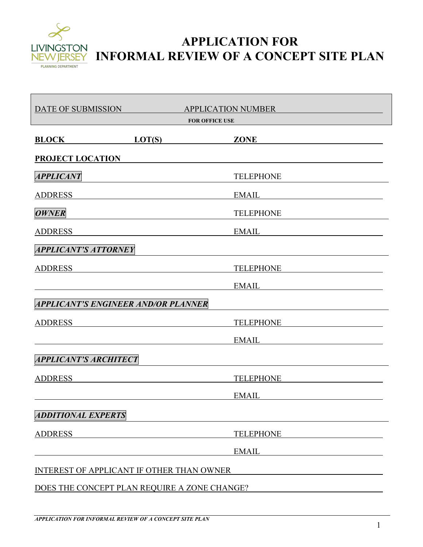

## **APPLICATION FOR INFORMAL REVIEW OF A CONCEPT SITE PLAN**

| DATE OF SUBMISSION                                                                               |        | <b>APPLICATION NUMBER</b><br><b>FOR OFFICE USE</b> |
|--------------------------------------------------------------------------------------------------|--------|----------------------------------------------------|
| <b>BLOCK</b>                                                                                     | LOT(S) | <b>ZONE</b>                                        |
| <b>PROJECT LOCATION</b>                                                                          |        |                                                    |
| <b>APPLICANT</b>                                                                                 |        | <b>TELEPHONE</b>                                   |
| <b>ADDRESS</b>                                                                                   |        | <b>EMAIL</b>                                       |
| <b>OWNER</b>                                                                                     |        | <b>TELEPHONE</b>                                   |
| <b>ADDRESS</b>                                                                                   |        | <b>EMAIL</b>                                       |
| <b>APPLICANT'S ATTORNEY</b>                                                                      |        |                                                    |
| <b>ADDRESS</b>                                                                                   |        | <b>TELEPHONE</b>                                   |
|                                                                                                  |        | <b>EMAIL</b>                                       |
| APPLICANT'S ENGINEER AND/OR PLANNER                                                              |        |                                                    |
| <b>ADDRESS</b>                                                                                   |        | <b>TELEPHONE</b>                                   |
|                                                                                                  |        | <b>EMAIL</b>                                       |
| <b>APPLICANT'S ARCHITECT</b>                                                                     |        |                                                    |
| <b>ADDRESS</b>                                                                                   |        | <b>TELEPHONE</b>                                   |
|                                                                                                  |        | <b>EMAIL</b>                                       |
| <b>ADDITIONAL EXPERTS</b>                                                                        |        |                                                    |
| <b>ADDRESS</b>                                                                                   |        | <b>TELEPHONE</b>                                   |
|                                                                                                  |        | <b>EMAIL</b>                                       |
| <b>INTEREST OF APPLICANT IF OTHER THAN OWNER</b><br>DOES THE CONCEPT PLAN REQUIRE A ZONE CHANGE? |        |                                                    |
|                                                                                                  |        |                                                    |